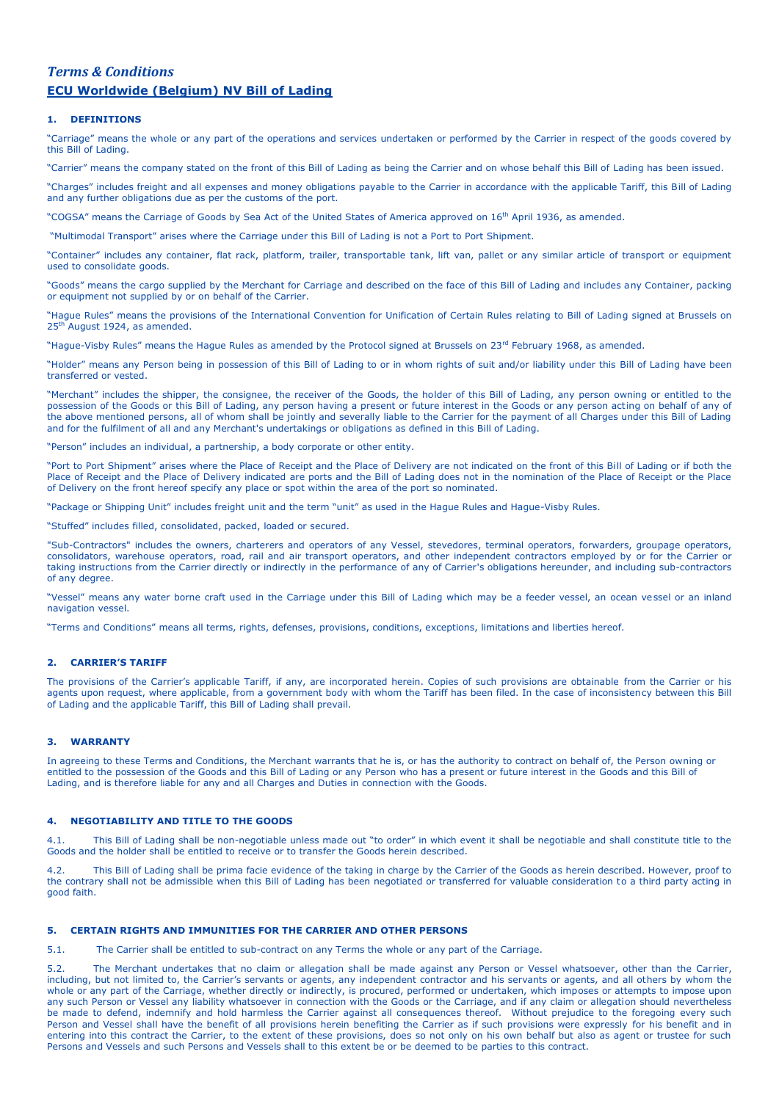# *Terms & Conditions*  **ECU Worldwide (Belgium) NV Bill of Lading**

### **1. DEFINITIONS**

"Carriage" means the whole or any part of the operations and services undertaken or performed by the Carrier in respect of the goods covered by this Bill of Lading.

"Carrier" means the company stated on the front of this Bill of Lading as being the Carrier and on whose behalf this Bill of Lading has been issued.

"Charges" includes freight and all expenses and money obligations payable to the Carrier in accordance with the applicable Tariff, this Bill of Lading and any further obligations due as per the customs of the port.

"COGSA" means the Carriage of Goods by Sea Act of the United States of America approved on 16<sup>th</sup> April 1936, as amended.

"Multimodal Transport" arises where the Carriage under this Bill of Lading is not a Port to Port Shipment.

"Container" includes any container, flat rack, platform, trailer, transportable tank, lift van, pallet or any similar article of transport or equipment used to consolidate goods.

"Goods" means the cargo supplied by the Merchant for Carriage and described on the face of this Bill of Lading and includes any Container, packing or equipment not supplied by or on behalf of the Carrier.

"Hague Rules" means the provisions of the International Convention for Unification of Certain Rules relating to Bill of Lading signed at Brussels on 25<sup>th</sup> August 1924, as amended.

"Hague-Visby Rules" means the Hague Rules as amended by the Protocol signed at Brussels on 23<sup>rd</sup> February 1968, as amended.

"Holder" means any Person being in possession of this Bill of Lading to or in whom rights of suit and/or liability under this Bill of Lading have been transferred or vested.

"Merchant" includes the shipper, the consignee, the receiver of the Goods, the holder of this Bill of Lading, any person owning or entitled to the possession of the Goods or this Bill of Lading, any person having a present or future interest in the Goods or any person acting on behalf of any of the above mentioned persons, all of whom shall be jointly and severally liable to the Carrier for the payment of all Charges under this Bill of Lading and for the fulfilment of all and any Merchant's undertakings or obligations as defined in this Bill of Lading.

"Person" includes an individual, a partnership, a body corporate or other entity.

"Port to Port Shipment" arises where the Place of Receipt and the Place of Delivery are not indicated on the front of this Bill of Lading or if both the Place of Receipt and the Place of Delivery indicated are ports and the Bill of Lading does not in the nomination of the Place of Receipt or the Place of Delivery on the front hereof specify any place or spot within the area of the port so nominated.

"Package or Shipping Unit" includes freight unit and the term "unit" as used in the Hague Rules and Hague-Visby Rules.

"Stuffed" includes filled, consolidated, packed, loaded or secured.

"Sub-Contractors" includes the owners, charterers and operators of any Vessel, stevedores, terminal operators, forwarders, groupage operators, consolidators, warehouse operators, road, rail and air transport operators, and other independent contractors employed by or for the Carrier or taking instructions from the Carrier directly or indirectly in the performance of any of Carrier's obligations hereunder, and including sub-contractors of any degree.

"Vessel" means any water borne craft used in the Carriage under this Bill of Lading which may be a feeder vessel, an ocean vessel or an inland navigation vessel.

"Terms and Conditions" means all terms, rights, defenses, provisions, conditions, exceptions, limitations and liberties hereof.

#### **2. CARRIER'S TARIFF**

The provisions of the Carrier's applicable Tariff, if any, are incorporated herein. Copies of such provisions are obtainable from the Carrier or his agents upon request, where applicable, from a government body with whom the Tariff has been filed. In the case of inconsistency between this Bill of Lading and the applicable Tariff, this Bill of Lading shall prevail.

# **3. WARRANTY**

In agreeing to these Terms and Conditions, the Merchant warrants that he is, or has the authority to contract on behalf of, the Person owning or entitled to the possession of the Goods and this Bill of Lading or any Person who has a present or future interest in the Goods and this Bill of Lading, and is therefore liable for any and all Charges and Duties in connection with the Goods.

### **4. NEGOTIABILITY AND TITLE TO THE GOODS**

4.1. This Bill of Lading shall be non-negotiable unless made out "to order" in which event it shall be negotiable and shall constitute title to the Goods and the holder shall be entitled to receive or to transfer the Goods herein described.

4.2. This Bill of Lading shall be prima facie evidence of the taking in charge by the Carrier of the Goods as herein described. However, proof to the contrary shall not be admissible when this Bill of Lading has been negotiated or transferred for valuable consideration to a third party acting in good faith.

### **5. CERTAIN RIGHTS AND IMMUNITIES FOR THE CARRIER AND OTHER PERSONS**

5.1. The Carrier shall be entitled to sub-contract on any Terms the whole or any part of the Carriage.

5.2. The Merchant undertakes that no claim or allegation shall be made against any Person or Vessel whatsoever, other than the Carrier, including, but not limited to, the Carrier's servants or agents, any independent contractor and his servants or agents, and all others by whom the whole or any part of the Carriage, whether directly or indirectly, is procured, performed or undertaken, which imposes or attempts to impose upon any such Person or Vessel any liability whatsoever in connection with the Goods or the Carriage, and if any claim or allegation should nevertheless be made to defend, indemnify and hold harmless the Carrier against all consequences thereof. Without prejudice to the foregoing every such Person and Vessel shall have the benefit of all provisions herein benefiting the Carrier as if such provisions were expressly for his benefit and in entering into this contract the Carrier, to the extent of these provisions, does so not only on his own behalf but also as agent or trustee for such Persons and Vessels and such Persons and Vessels shall to this extent be or be deemed to be parties to this contract.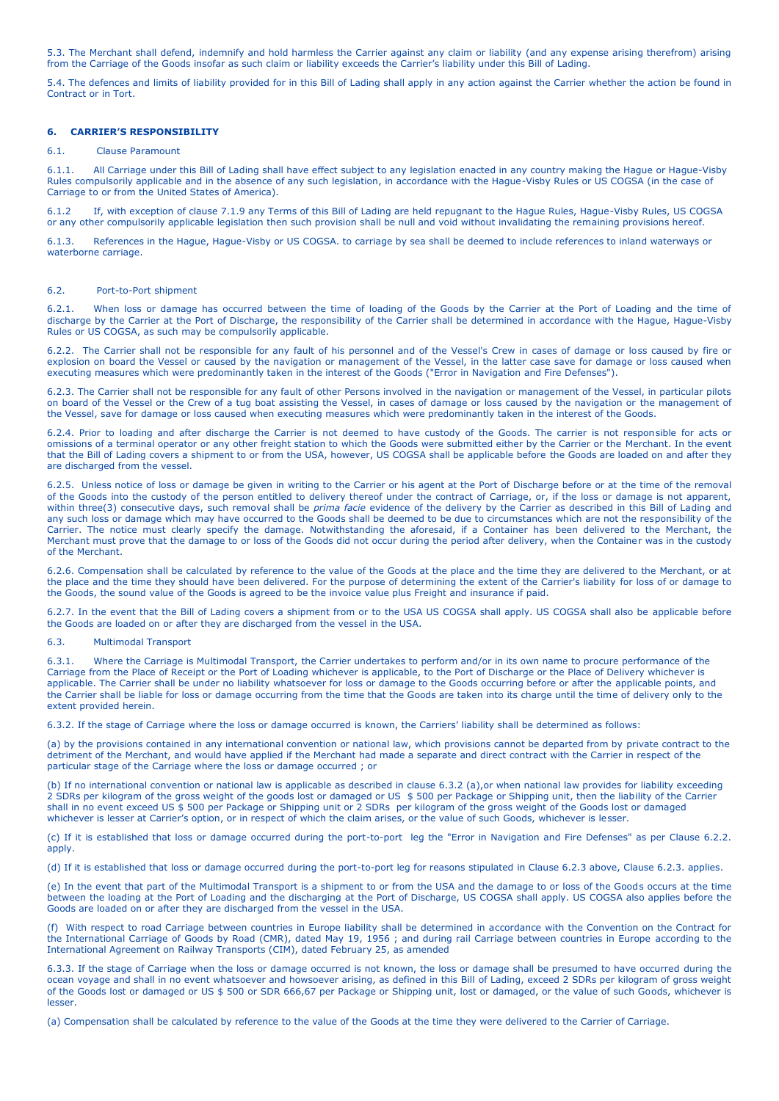5.3. The Merchant shall defend, indemnify and hold harmless the Carrier against any claim or liability (and any expense arising therefrom) arising from the Carriage of the Goods insofar as such claim or liability exceeds the Carrier's liability under this Bill of Lading.

5.4. The defences and limits of liability provided for in this Bill of Lading shall apply in any action against the Carrier whether the action be found in Contract or in Tort.

### **6. CARRIER'S RESPONSIBILITY**

### 6.1. Clause Paramount

6.1.1. All Carriage under this Bill of Lading shall have effect subject to any legislation enacted in any country making the Hague or Hague-Visby Rules compulsorily applicable and in the absence of any such legislation, in accordance with the Hague-Visby Rules or US COGSA (in the case of Carriage to or from the United States of America).

6.1.2 If, with exception of clause 7.1.9 any Terms of this Bill of Lading are held repugnant to the Hague Rules, Hague-Visby Rules, US COGSA or any other compulsorily applicable legislation then such provision shall be null and void without invalidating the remaining provisions hereof.

6.1.3. References in the Hague, Hague-Visby or US COGSA. to carriage by sea shall be deemed to include references to inland waterways or waterborne carriage.

#### 6.2. Port-to-Port shipment

6.2.1. When loss or damage has occurred between the time of loading of the Goods by the Carrier at the Port of Loading and the time of discharge by the Carrier at the Port of Discharge, the responsibility of the Carrier shall be determined in accordance with the Hague, Hague-Visby Rules or US COGSA, as such may be compulsorily applicable.

6.2.2. The Carrier shall not be responsible for any fault of his personnel and of the Vessel's Crew in cases of damage or loss caused by fire or explosion on board the Vessel or caused by the navigation or management of the Vessel, in the latter case save for damage or loss caused when executing measures which were predominantly taken in the interest of the Goods ("Error in Navigation and Fire Defenses").

6.2.3. The Carrier shall not be responsible for any fault of other Persons involved in the navigation or management of the Vessel, in particular pilots on board of the Vessel or the Crew of a tug boat assisting the Vessel, in cases of damage or loss caused by the navigation or the management of the Vessel, save for damage or loss caused when executing measures which were predominantly taken in the interest of the Goods.

6.2.4. Prior to loading and after discharge the Carrier is not deemed to have custody of the Goods. The carrier is not responsible for acts or omissions of a terminal operator or any other freight station to which the Goods were submitted either by the Carrier or the Merchant. In the event that the Bill of Lading covers a shipment to or from the USA, however, US COGSA shall be applicable before the Goods are loaded on and after they are discharged from the vessel.

6.2.5. Unless notice of loss or damage be given in writing to the Carrier or his agent at the Port of Discharge before or at the time of the removal of the Goods into the custody of the person entitled to delivery thereof under the contract of Carriage, or, if the loss or damage is not apparent, within three(3) consecutive days, such removal shall be *prima facie* evidence of the delivery by the Carrier as described in this Bill of Lading and any such loss or damage which may have occurred to the Goods shall be deemed to be due to circumstances which are not the responsibility of the Carrier. The notice must clearly specify the damage. Notwithstanding the aforesaid, if a Container has been delivered to the Merchant, the Merchant must prove that the damage to or loss of the Goods did not occur during the period after delivery, when the Container was in the custody of the Merchant.

6.2.6. Compensation shall be calculated by reference to the value of the Goods at the place and the time they are delivered to the Merchant, or at the place and the time they should have been delivered. For the purpose of determining the extent of the Carrier's liability for loss of or damage to the Goods, the sound value of the Goods is agreed to be the invoice value plus Freight and insurance if paid.

6.2.7. In the event that the Bill of Lading covers a shipment from or to the USA US COGSA shall apply. US COGSA shall also be applicable before the Goods are loaded on or after they are discharged from the vessel in the USA.

#### 6.3. Multimodal Transport

6.3.1. Where the Carriage is Multimodal Transport, the Carrier undertakes to perform and/or in its own name to procure performance of the Carriage from the Place of Receipt or the Port of Loading whichever is applicable, to the Port of Discharge or the Place of Delivery whichever is applicable. The Carrier shall be under no liability whatsoever for loss or damage to the Goods occurring before or after the applicable points, and the Carrier shall be liable for loss or damage occurring from the time that the Goods are taken into its charge until the time of delivery only to the extent provided herein.

6.3.2. If the stage of Carriage where the loss or damage occurred is known, the Carriers' liability shall be determined as follows:

(a) by the provisions contained in any international convention or national law, which provisions cannot be departed from by private contract to the detriment of the Merchant, and would have applied if the Merchant had made a separate and direct contract with the Carrier in respect of the particular stage of the Carriage where the loss or damage occurred ; or

(b) If no international convention or national law is applicable as described in clause 6.3.2 (a),or when national law provides for liability exceeding 2 SDRs per kilogram of the gross weight of the goods lost or damaged or US \$ 500 per Package or Shipping unit, then the liability of the Carrier shall in no event exceed US \$ 500 per Package or Shipping unit or 2 SDRs per kilogram of the gross weight of the Goods lost or damaged whichever is lesser at Carrier's option, or in respect of which the claim arises, or the value of such Goods, whichever is lesser.

(c) If it is established that loss or damage occurred during the port-to-port leg the "Error in Navigation and Fire Defenses" as per Clause 6.2.2. apply.

(d) If it is established that loss or damage occurred during the port-to-port leg for reasons stipulated in Clause 6.2.3 above, Clause 6.2.3. applies.

(e) In the event that part of the Multimodal Transport is a shipment to or from the USA and the damage to or loss of the Goods occurs at the time between the loading at the Port of Loading and the discharging at the Port of Discharge, US COGSA shall apply. US COGSA also applies before the Goods are loaded on or after they are discharged from the vessel in the USA.

(f) With respect to road Carriage between countries in Europe liability shall be determined in accordance with the Convention on the Contract for the International Carriage of Goods by Road (CMR), dated May 19, 1956 ; and during rail Carriage between countries in Europe according to the International Agreement on Railway Transports (CIM), dated February 25, as amended

6.3.3. If the stage of Carriage when the loss or damage occurred is not known, the loss or damage shall be presumed to have occurred during the ocean voyage and shall in no event whatsoever and howsoever arising, as defined in this Bill of Lading, exceed 2 SDRs per kilogram of gross weight of the Goods lost or damaged or US \$ 500 or SDR 666,67 per Package or Shipping unit, lost or damaged, or the value of such Goods, whichever is lesser.

(a) Compensation shall be calculated by reference to the value of the Goods at the time they were delivered to the Carrier of Carriage.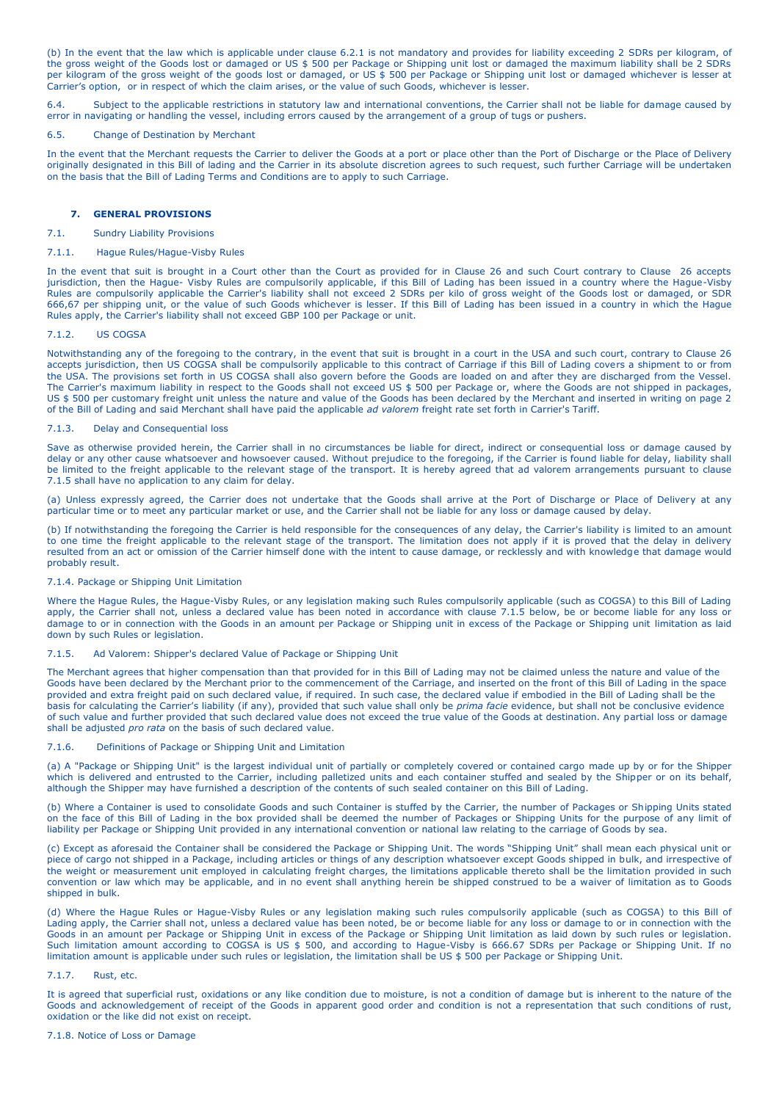(b) In the event that the law which is applicable under clause 6.2.1 is not mandatory and provides for liability exceeding 2 SDRs per kilogram, of the gross weight of the Goods lost or damaged or US \$ 500 per Package or Shipping unit lost or damaged the maximum liability shall be 2 SDRs per kilogram of the gross weight of the goods lost or damaged, or US \$ 500 per Package or Shipping unit lost or damaged whichever is lesser at Carrier's option, or in respect of which the claim arises, or the value of such Goods, whichever is lesser.

6.4. Subject to the applicable restrictions in statutory law and international conventions, the Carrier shall not be liable for damage caused by error in navigating or handling the vessel, including errors caused by the arrangement of a group of tugs or pushers.

### 6.5. Change of Destination by Merchant

In the event that the Merchant requests the Carrier to deliver the Goods at a port or place other than the Port of Discharge or the Place of Delivery originally designated in this Bill of lading and the Carrier in its absolute discretion agrees to such request, such further Carriage will be undertaken on the basis that the Bill of Lading Terms and Conditions are to apply to such Carriage.

### **7. GENERAL PROVISIONS**

#### 7.1. Sundry Liability Provisions

#### 7.1.1. Hague Rules/Hague-Visby Rules

In the event that suit is brought in a Court other than the Court as provided for in Clause 26 and such Court contrary to Clause 26 accepts jurisdiction, then the Hague- Visby Rules are compulsorily applicable, if this Bill of Lading has been issued in a country where the Hague-Visby Rules are compulsorily applicable the Carrier's liability shall not exceed 2 SDRs per kilo of gross weight of the Goods lost or damaged, or SDR 666,67 per shipping unit, or the value of such Goods whichever is lesser. If this Bill of Lading has been issued in a country in which the Hague Rules apply, the Carrier's liability shall not exceed GBP 100 per Package or unit.

#### 7.1.2. US COGSA

Notwithstanding any of the foregoing to the contrary, in the event that suit is brought in a court in the USA and such court, contrary to Clause 26 accepts jurisdiction, then US COGSA shall be compulsorily applicable to this contract of Carriage if this Bill of Lading covers a shipment to or from the USA. The provisions set forth in US COGSA shall also govern before the Goods are loaded on and after they are discharged from the Vessel. The Carrier's maximum liability in respect to the Goods shall not exceed US \$ 500 per Package or, where the Goods are not shipped in packages, US \$ 500 per customary freight unit unless the nature and value of the Goods has been declared by the Merchant and inserted in writing on page 2 of the Bill of Lading and said Merchant shall have paid the applicable *ad valorem* freight rate set forth in Carrier's Tariff.

#### 7.1.3. Delay and Consequential loss

Save as otherwise provided herein, the Carrier shall in no circumstances be liable for direct, indirect or consequential loss or damage caused by delay or any other cause whatsoever and howsoever caused. Without prejudice to the foregoing, if the Carrier is found liable for delay, liability shall be limited to the freight applicable to the relevant stage of the transport. It is hereby agreed that ad valorem arrangements pursuant to clause 7.1.5 shall have no application to any claim for delay.

(a) Unless expressly agreed, the Carrier does not undertake that the Goods shall arrive at the Port of Discharge or Place of Delivery at any particular time or to meet any particular market or use, and the Carrier shall not be liable for any loss or damage caused by delay.

(b) If notwithstanding the foregoing the Carrier is held responsible for the consequences of any delay, the Carrier's liability is limited to an amount to one time the freight applicable to the relevant stage of the transport. The limitation does not apply if it is proved that the delay in delivery resulted from an act or omission of the Carrier himself done with the intent to cause damage, or recklessly and with knowledge that damage would probably result.

#### 7.1.4. Package or Shipping Unit Limitation

Where the Hague Rules, the Hague-Visby Rules, or any legislation making such Rules compulsorily applicable (such as COGSA) to this Bill of Lading apply, the Carrier shall not, unless a declared value has been noted in accordance with clause 7.1.5 below, be or become liable for any loss or damage to or in connection with the Goods in an amount per Package or Shipping unit in excess of the Package or Shipping unit limitation as laid down by such Rules or legislation.

### 7.1.5. Ad Valorem: Shipper's declared Value of Package or Shipping Unit

The Merchant agrees that higher compensation than that provided for in this Bill of Lading may not be claimed unless the nature and value of the Goods have been declared by the Merchant prior to the commencement of the Carriage, and inserted on the front of this Bill of Lading in the space provided and extra freight paid on such declared value, if required. In such case, the declared value if embodied in the Bill of Lading shall be the basis for calculating the Carrier's liability (if any), provided that such value shall only be *prima facie* evidence, but shall not be conclusive evidence of such value and further provided that such declared value does not exceed the true value of the Goods at destination. Any partial loss or damage shall be adjusted *pro rata* on the basis of such declared value.

#### 7.1.6. Definitions of Package or Shipping Unit and Limitation

(a) A "Package or Shipping Unit" is the largest individual unit of partially or completely covered or contained cargo made up by or for the Shipper which is delivered and entrusted to the Carrier, including palletized units and each container stuffed and sealed by the Shipper or on its behalf, although the Shipper may have furnished a description of the contents of such sealed container on this Bill of Lading.

(b) Where a Container is used to consolidate Goods and such Container is stuffed by the Carrier, the number of Packages or Shipping Units stated on the face of this Bill of Lading in the box provided shall be deemed the number of Packages or Shipping Units for the purpose of any limit of liability per Package or Shipping Unit provided in any international convention or national law relating to the carriage of Goods by sea.

(c) Except as aforesaid the Container shall be considered the Package or Shipping Unit. The words "Shipping Unit" shall mean each physical unit or piece of cargo not shipped in a Package, including articles or things of any description whatsoever except Goods shipped in bulk, and irrespective of the weight or measurement unit employed in calculating freight charges, the limitations applicable thereto shall be the limitation provided in such convention or law which may be applicable, and in no event shall anything herein be shipped construed to be a waiver of limitation as to Goods shipped in bulk.

(d) Where the Hague Rules or Hague-Visby Rules or any legislation making such rules compulsorily applicable (such as COGSA) to this Bill of Lading apply, the Carrier shall not, unless a declared value has been noted, be or become liable for any loss or damage to or in connection with the Goods in an amount per Package or Shipping Unit in excess of the Package or Shipping Unit limitation as laid down by such rules or legislation. Such limitation amount according to COGSA is US \$ 500, and according to Hague-Visby is 666.67 SDRs per Package or Shipping Unit. If no limitation amount is applicable under such rules or legislation, the limitation shall be US \$ 500 per Package or Shipping Unit.

#### 7.1.7. Rust, etc.

It is agreed that superficial rust, oxidations or any like condition due to moisture, is not a condition of damage but is inherent to the nature of the Goods and acknowledgement of receipt of the Goods in apparent good order and condition is not a representation that such conditions of rust, oxidation or the like did not exist on receipt.

#### 7.1.8. Notice of Loss or Damage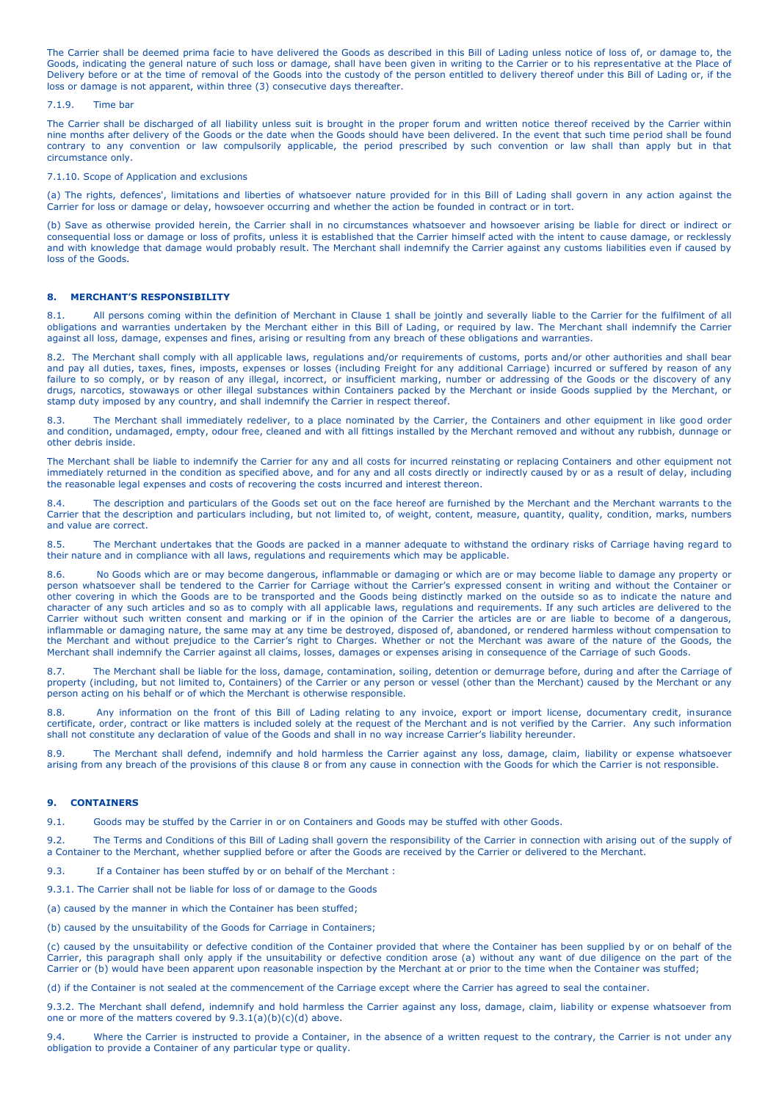The Carrier shall be deemed prima facie to have delivered the Goods as described in this Bill of Lading unless notice of loss of, or damage to, the Goods, indicating the general nature of such loss or damage, shall have been given in writing to the Carrier or to his representative at the Place of Delivery before or at the time of removal of the Goods into the custody of the person entitled to delivery thereof under this Bill of Lading or, if the loss or damage is not apparent, within three (3) consecutive days thereafter.

#### 7.1.9. Time bar

The Carrier shall be discharged of all liability unless suit is brought in the proper forum and written notice thereof received by the Carrier within nine months after delivery of the Goods or the date when the Goods should have been delivered. In the event that such time period shall be found contrary to any convention or law compulsorily applicable, the period prescribed by such convention or law shall than apply but in that circumstance only.

#### 7.1.10. Scope of Application and exclusions

(a) The rights, defences', limitations and liberties of whatsoever nature provided for in this Bill of Lading shall govern in any action against the Carrier for loss or damage or delay, howsoever occurring and whether the action be founded in contract or in tort.

(b) Save as otherwise provided herein, the Carrier shall in no circumstances whatsoever and howsoever arising be liable for direct or indirect or consequential loss or damage or loss of profits, unless it is established that the Carrier himself acted with the intent to cause damage, or recklessly and with knowledge that damage would probably result. The Merchant shall indemnify the Carrier against any customs liabilities even if caused by loss of the Goods.

#### **8. MERCHANT'S RESPONSIBILITY**

8.1. All persons coming within the definition of Merchant in Clause 1 shall be jointly and severally liable to the Carrier for the fulfilment of all obligations and warranties undertaken by the Merchant either in this Bill of Lading, or required by law. The Merchant shall indemnify the Carrier against all loss, damage, expenses and fines, arising or resulting from any breach of these obligations and warranties.

8.2.The Merchant shall comply with all applicable laws, regulations and/or requirements of customs, ports and/or other authorities and shall bear and pay all duties, taxes, fines, imposts, expenses or losses (including Freight for any additional Carriage) incurred or suffered by reason of any failure to so comply, or by reason of any illegal, incorrect, or insufficient marking, number or addressing of the Goods or the discovery of any drugs, narcotics, stowaways or other illegal substances within Containers packed by the Merchant or inside Goods supplied by the Merchant, or stamp duty imposed by any country, and shall indemnify the Carrier in respect thereof.

8.3. The Merchant shall immediately redeliver, to a place nominated by the Carrier, the Containers and other equipment in like good order and condition, undamaged, empty, odour free, cleaned and with all fittings installed by the Merchant removed and without any rubbish, dunnage or other debris inside.

The Merchant shall be liable to indemnify the Carrier for any and all costs for incurred reinstating or replacing Containers and other equipment not immediately returned in the condition as specified above, and for any and all costs directly or indirectly caused by or as a result of delay, including the reasonable legal expenses and costs of recovering the costs incurred and interest thereon.

8.4. The description and particulars of the Goods set out on the face hereof are furnished by the Merchant and the Merchant warrants to the Carrier that the description and particulars including, but not limited to, of weight, content, measure, quantity, quality, condition, marks, numbers and value are correct.

8.5. The Merchant undertakes that the Goods are packed in a manner adequate to withstand the ordinary risks of Carriage having regard to their nature and in compliance with all laws, regulations and requirements which may be applicable.

8.6. No Goods which are or may become dangerous, inflammable or damaging or which are or may become liable to damage any property or person whatsoever shall be tendered to the Carrier for Carriage without the Carrier's expressed consent in writing and without the Container or other covering in which the Goods are to be transported and the Goods being distinctly marked on the outside so as to indicate the nature and character of any such articles and so as to comply with all applicable laws, regulations and requirements. If any such articles are delivered to the Carrier without such written consent and marking or if in the opinion of the Carrier the articles are or are liable to become of a dangerous, inflammable or damaging nature, the same may at any time be destroyed, disposed of, abandoned, or rendered harmless without compensation to the Merchant and without prejudice to the Carrier's right to Charges. Whether or not the Merchant was aware of the nature of the Goods, the Merchant shall indemnify the Carrier against all claims, losses, damages or expenses arising in consequence of the Carriage of such Goods.

8.7. The Merchant shall be liable for the loss, damage, contamination, soiling, detention or demurrage before, during and after the Carriage of property (including, but not limited to, Containers) of the Carrier or any person or vessel (other than the Merchant) caused by the Merchant or any person acting on his behalf or of which the Merchant is otherwise responsible.

8.8. Any information on the front of this Bill of Lading relating to any invoice, export or import license, documentary credit, insurance certificate, order, contract or like matters is included solely at the request of the Merchant and is not verified by the Carrier. Any such information shall not constitute any declaration of value of the Goods and shall in no way increase Carrier's liability hereunder.

8.9. The Merchant shall defend, indemnify and hold harmless the Carrier against any loss, damage, claim, liability or expense whatsoever arising from any breach of the provisions of this clause 8 or from any cause in connection with the Goods for which the Carrier is not responsible.

#### **9. CONTAINERS**

9.1. Goods may be stuffed by the Carrier in or on Containers and Goods may be stuffed with other Goods.

9.2. The Terms and Conditions of this Bill of Lading shall govern the responsibility of the Carrier in connection with arising out of the supply of a Container to the Merchant, whether supplied before or after the Goods are received by the Carrier or delivered to the Merchant.

9.3. If a Container has been stuffed by or on behalf of the Merchant :

9.3.1. The Carrier shall not be liable for loss of or damage to the Goods

(a) caused by the manner in which the Container has been stuffed;

(b) caused by the unsuitability of the Goods for Carriage in Containers;

(c) caused by the unsuitability or defective condition of the Container provided that where the Container has been supplied by or on behalf of the Carrier, this paragraph shall only apply if the unsuitability or defective condition arose (a) without any want of due diligence on the part of the Carrier or (b) would have been apparent upon reasonable inspection by the Merchant at or prior to the time when the Container was stuffed;

(d) if the Container is not sealed at the commencement of the Carriage except where the Carrier has agreed to seal the container.

9.3.2. The Merchant shall defend, indemnify and hold harmless the Carrier against any loss, damage, claim, liability or expense whatsoever from one or more of the matters covered by 9.3.1(a)(b)(c)(d) above.

9.4. Where the Carrier is instructed to provide a Container, in the absence of a written request to the contrary, the Carrier is not under any obligation to provide a Container of any particular type or quality.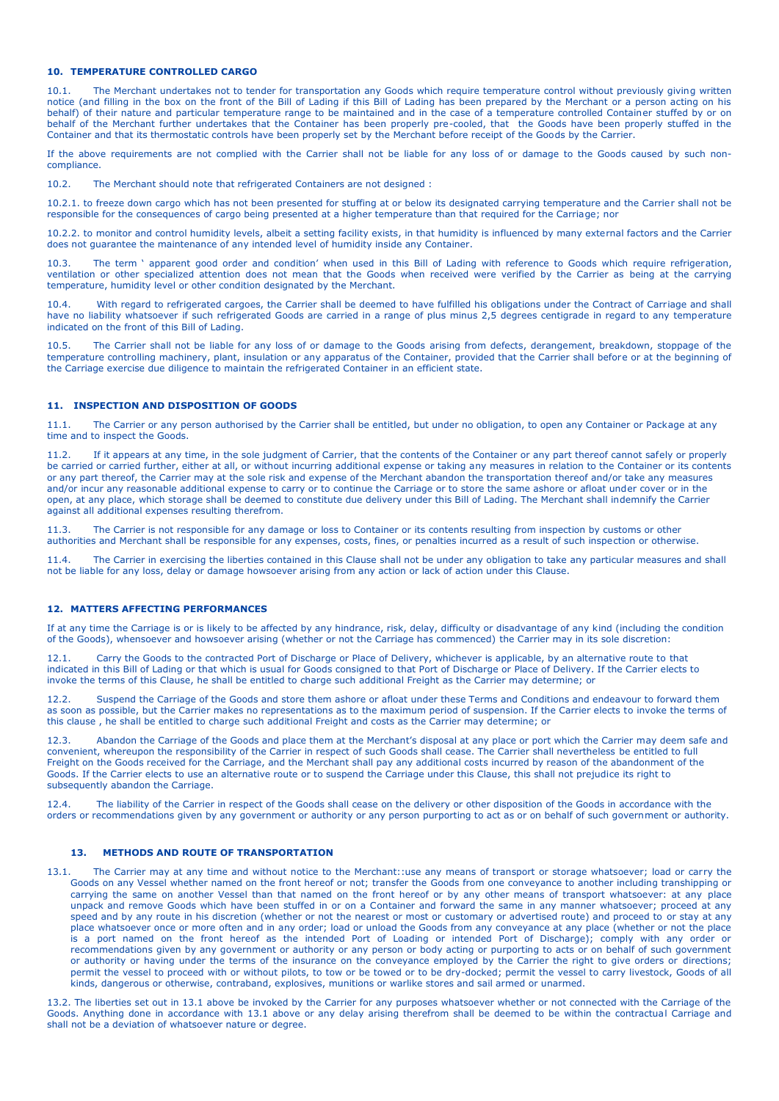#### **10. TEMPERATURE CONTROLLED CARGO**

10.1. The Merchant undertakes not to tender for transportation any Goods which require temperature control without previously giving written notice (and filling in the box on the front of the Bill of Lading if this Bill of Lading has been prepared by the Merchant or a person acting on his behalf) of their nature and particular temperature range to be maintained and in the case of a temperature controlled Container stuffed by or on behalf of the Merchant further undertakes that the Container has been properly pre-cooled, that the Goods have been properly stuffed in the Container and that its thermostatic controls have been properly set by the Merchant before receipt of the Goods by the Carrier.

If the above requirements are not complied with the Carrier shall not be liable for any loss of or damage to the Goods caused by such noncompliance.

10.2. The Merchant should note that refrigerated Containers are not designed :

10.2.1. to freeze down cargo which has not been presented for stuffing at or below its designated carrying temperature and the Carrier shall not be responsible for the consequences of cargo being presented at a higher temperature than that required for the Carriage; nor

10.2.2. to monitor and control humidity levels, albeit a setting facility exists, in that humidity is influenced by many external factors and the Carrier does not guarantee the maintenance of any intended level of humidity inside any Container.

The term ' apparent good order and condition' when used in this Bill of Lading with reference to Goods which require refrigeration, ventilation or other specialized attention does not mean that the Goods when received were verified by the Carrier as being at the carrying temperature, humidity level or other condition designated by the Merchant.

10.4. With regard to refrigerated cargoes, the Carrier shall be deemed to have fulfilled his obligations under the Contract of Carriage and shall have no liability whatsoever if such refrigerated Goods are carried in a range of plus minus 2,5 degrees centigrade in regard to any temperature indicated on the front of this Bill of Lading.

10.5. The Carrier shall not be liable for any loss of or damage to the Goods arising from defects, derangement, breakdown, stoppage of the temperature controlling machinery, plant, insulation or any apparatus of the Container, provided that the Carrier shall before or at the beginning of the Carriage exercise due diligence to maintain the refrigerated Container in an efficient state.

# **11. INSPECTION AND DISPOSITION OF GOODS**

11.1. The Carrier or any person authorised by the Carrier shall be entitled, but under no obligation, to open any Container or Package at any time and to inspect the Goods.

11.2. If it appears at any time, in the sole judgment of Carrier, that the contents of the Container or any part thereof cannot safely or properly be carried or carried further, either at all, or without incurring additional expense or taking any measures in relation to the Container or its contents or any part thereof, the Carrier may at the sole risk and expense of the Merchant abandon the transportation thereof and/or take any measures and/or incur any reasonable additional expense to carry or to continue the Carriage or to store the same ashore or afloat under cover or in the open, at any place, which storage shall be deemed to constitute due delivery under this Bill of Lading. The Merchant shall indemnify the Carrier against all additional expenses resulting therefrom.

11.3. The Carrier is not responsible for any damage or loss to Container or its contents resulting from inspection by customs or other authorities and Merchant shall be responsible for any expenses, costs, fines, or penalties incurred as a result of such inspection or otherwise.

11.4. The Carrier in exercising the liberties contained in this Clause shall not be under any obligation to take any particular measures and shall not be liable for any loss, delay or damage howsoever arising from any action or lack of action under this Clause.

# **12. MATTERS AFFECTING PERFORMANCES**

If at any time the Carriage is or is likely to be affected by any hindrance, risk, delay, difficulty or disadvantage of any kind (including the condition of the Goods), whensoever and howsoever arising (whether or not the Carriage has commenced) the Carrier may in its sole discretion:

12.1. Carry the Goods to the contracted Port of Discharge or Place of Delivery, whichever is applicable, by an alternative route to that indicated in this Bill of Lading or that which is usual for Goods consigned to that Port of Discharge or Place of Delivery. If the Carrier elects to invoke the terms of this Clause, he shall be entitled to charge such additional Freight as the Carrier may determine; or

12.2. Suspend the Carriage of the Goods and store them ashore or afloat under these Terms and Conditions and endeavour to forward them as soon as possible, but the Carrier makes no representations as to the maximum period of suspension. If the Carrier elects to invoke the terms of this clause , he shall be entitled to charge such additional Freight and costs as the Carrier may determine; or

12.3. Abandon the Carriage of the Goods and place them at the Merchant's disposal at any place or port which the Carrier may deem safe and convenient, whereupon the responsibility of the Carrier in respect of such Goods shall cease. The Carrier shall nevertheless be entitled to full Freight on the Goods received for the Carriage, and the Merchant shall pay any additional costs incurred by reason of the abandonment of the Goods. If the Carrier elects to use an alternative route or to suspend the Carriage under this Clause, this shall not prejudice its right to subsequently abandon the Carriage.

12.4. The liability of the Carrier in respect of the Goods shall cease on the delivery or other disposition of the Goods in accordance with the orders or recommendations given by any government or authority or any person purporting to act as or on behalf of such government or authority.

# **13. METHODS AND ROUTE OF TRANSPORTATION**

13.1. The Carrier may at any time and without notice to the Merchant::use any means of transport or storage whatsoever; load or carry the Goods on any Vessel whether named on the front hereof or not; transfer the Goods from one conveyance to another including transhipping or carrying the same on another Vessel than that named on the front hereof or by any other means of transport whatsoever: at any place unpack and remove Goods which have been stuffed in or on a Container and forward the same in any manner whatsoever; proceed at any speed and by any route in his discretion (whether or not the nearest or most or customary or advertised route) and proceed to or stay at any place whatsoever once or more often and in any order; load or unload the Goods from any conveyance at any place (whether or not the place is a port named on the front hereof as the intended Port of Loading or intended Port of Discharge); comply with any order or recommendations given by any government or authority or any person or body acting or purporting to acts or on behalf of such government or authority or having under the terms of the insurance on the conveyance employed by the Carrier the right to give orders or directions; permit the vessel to proceed with or without pilots, to tow or be towed or to be dry-docked; permit the vessel to carry livestock, Goods of all kinds, dangerous or otherwise, contraband, explosives, munitions or warlike stores and sail armed or unarmed.

13.2. The liberties set out in 13.1 above be invoked by the Carrier for any purposes whatsoever whether or not connected with the Carriage of the Goods. Anything done in accordance with 13.1 above or any delay arising therefrom shall be deemed to be within the contractual Carriage and shall not be a deviation of whatsoever nature or degree.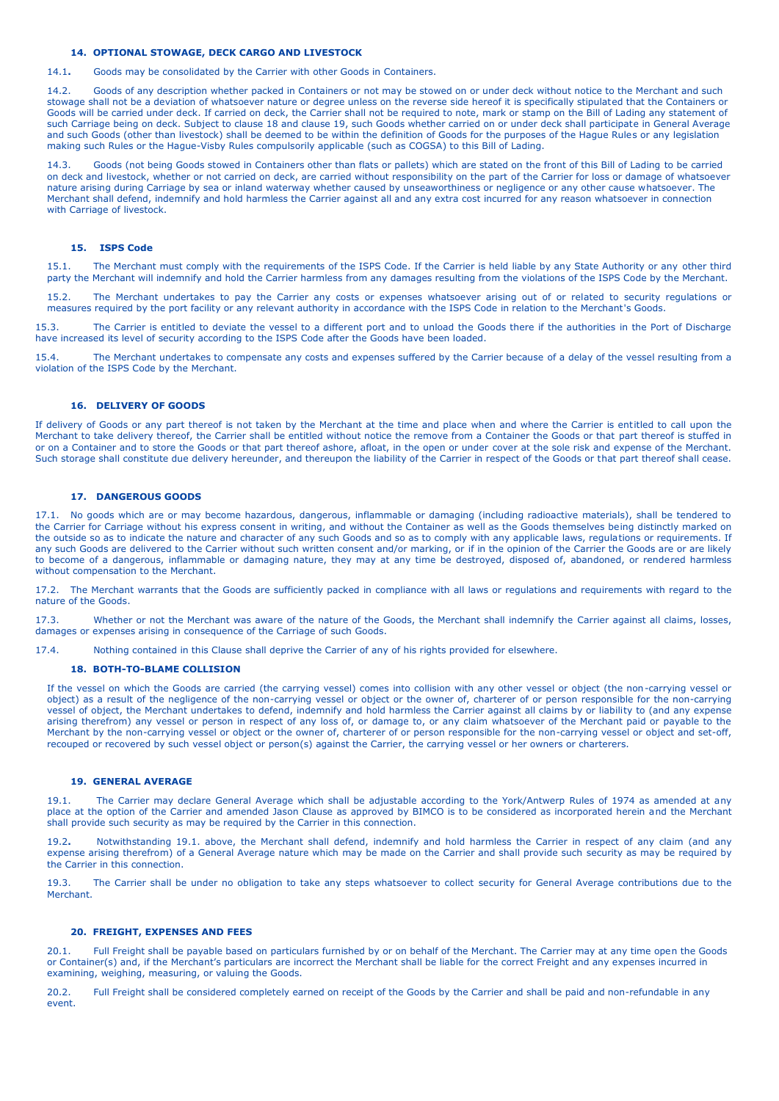# **14. OPTIONAL STOWAGE, DECK CARGO AND LIVESTOCK**

14.1**.** Goods may be consolidated by the Carrier with other Goods in Containers.

14.2. Goods of any description whether packed in Containers or not may be stowed on or under deck without notice to the Merchant and such stowage shall not be a deviation of whatsoever nature or degree unless on the reverse side hereof it is specifically stipulated that the Containers or Goods will be carried under deck. If carried on deck, the Carrier shall not be required to note, mark or stamp on the Bill of Lading any statement of such Carriage being on deck. Subject to clause 18 and clause 19, such Goods whether carried on or under deck shall participate in General Average and such Goods (other than livestock) shall be deemed to be within the definition of Goods for the purposes of the Hague Rules or any legislation making such Rules or the Hague-Visby Rules compulsorily applicable (such as COGSA) to this Bill of Lading.

14.3. Goods (not being Goods stowed in Containers other than flats or pallets) which are stated on the front of this Bill of Lading to be carried on deck and livestock, whether or not carried on deck, are carried without responsibility on the part of the Carrier for loss or damage of whatsoever nature arising during Carriage by sea or inland waterway whether caused by unseaworthiness or negligence or any other cause whatsoever. The Merchant shall defend, indemnify and hold harmless the Carrier against all and any extra cost incurred for any reason whatsoever in connection with Carriage of livestock.

#### **15. ISPS Code**

15.1. The Merchant must comply with the requirements of the ISPS Code. If the Carrier is held liable by any State Authority or any other third party the Merchant will indemnify and hold the Carrier harmless from any damages resulting from the violations of the ISPS Code by the Merchant.

15.2. The Merchant undertakes to pay the Carrier any costs or expenses whatsoever arising out of or related to security regulations or measures required by the port facility or any relevant authority in accordance with the ISPS Code in relation to the Merchant's Goods.

15.3. The Carrier is entitled to deviate the vessel to a different port and to unload the Goods there if the authorities in the Port of Discharge have increased its level of security according to the ISPS Code after the Goods have been loaded.

15.4. The Merchant undertakes to compensate any costs and expenses suffered by the Carrier because of a delay of the vessel resulting from a violation of the ISPS Code by the Merchant.

### **16. DELIVERY OF GOODS**

If delivery of Goods or any part thereof is not taken by the Merchant at the time and place when and where the Carrier is entitled to call upon the Merchant to take delivery thereof, the Carrier shall be entitled without notice the remove from a Container the Goods or that part thereof is stuffed in or on a Container and to store the Goods or that part thereof ashore, afloat, in the open or under cover at the sole risk and expense of the Merchant. Such storage shall constitute due delivery hereunder, and thereupon the liability of the Carrier in respect of the Goods or that part thereof shall cease.

# **17. DANGEROUS GOODS**

17.1. No goods which are or may become hazardous, dangerous, inflammable or damaging (including radioactive materials), shall be tendered to the Carrier for Carriage without his express consent in writing, and without the Container as well as the Goods themselves being distinctly marked on the outside so as to indicate the nature and character of any such Goods and so as to comply with any applicable laws, regulations or requirements. If any such Goods are delivered to the Carrier without such written consent and/or marking, or if in the opinion of the Carrier the Goods are or are likely to become of a dangerous, inflammable or damaging nature, they may at any time be destroyed, disposed of, abandoned, or rendered harmless without compensation to the Merchant.

17.2. The Merchant warrants that the Goods are sufficiently packed in compliance with all laws or regulations and requirements with regard to the nature of the Goods.

17.3. Whether or not the Merchant was aware of the nature of the Goods, the Merchant shall indemnify the Carrier against all claims, losses, damages or expenses arising in consequence of the Carriage of such Goods.

17.4. Nothing contained in this Clause shall deprive the Carrier of any of his rights provided for elsewhere.

### **18. BOTH-TO-BLAME COLLISION**

If the vessel on which the Goods are carried (the carrying vessel) comes into collision with any other vessel or object (the non-carrying vessel or object) as a result of the negligence of the non-carrying vessel or object or the owner of, charterer of or person responsible for the non-carrying vessel of object, the Merchant undertakes to defend, indemnify and hold harmless the Carrier against all claims by or liability to (and any expense arising therefrom) any vessel or person in respect of any loss of, or damage to, or any claim whatsoever of the Merchant paid or payable to the Merchant by the non-carrying vessel or object or the owner of, charterer of or person responsible for the non-carrying vessel or object and set-off, recouped or recovered by such vessel object or person(s) against the Carrier, the carrying vessel or her owners or charterers.

# **19. GENERAL AVERAGE**

19.1. The Carrier may declare General Average which shall be adjustable according to the York/Antwerp Rules of 1974 as amended at any place at the option of the Carrier and amended Jason Clause as approved by BIMCO is to be considered as incorporated herein and the Merchant shall provide such security as may be required by the Carrier in this connection.

19.2**.** Notwithstanding 19.1. above, the Merchant shall defend, indemnify and hold harmless the Carrier in respect of any claim (and any expense arising therefrom) of a General Average nature which may be made on the Carrier and shall provide such security as may be required by the Carrier in this connection.

19.3. The Carrier shall be under no obligation to take any steps whatsoever to collect security for General Average contributions due to the Merchant.

### **20. FREIGHT, EXPENSES AND FEES**

20.1. Full Freight shall be payable based on particulars furnished by or on behalf of the Merchant. The Carrier may at any time open the Goods or Container(s) and, if the Merchant's particulars are incorrect the Merchant shall be liable for the correct Freight and any expenses incurred in examining, weighing, measuring, or valuing the Goods.

20.2. Full Freight shall be considered completely earned on receipt of the Goods by the Carrier and shall be paid and non-refundable in any event.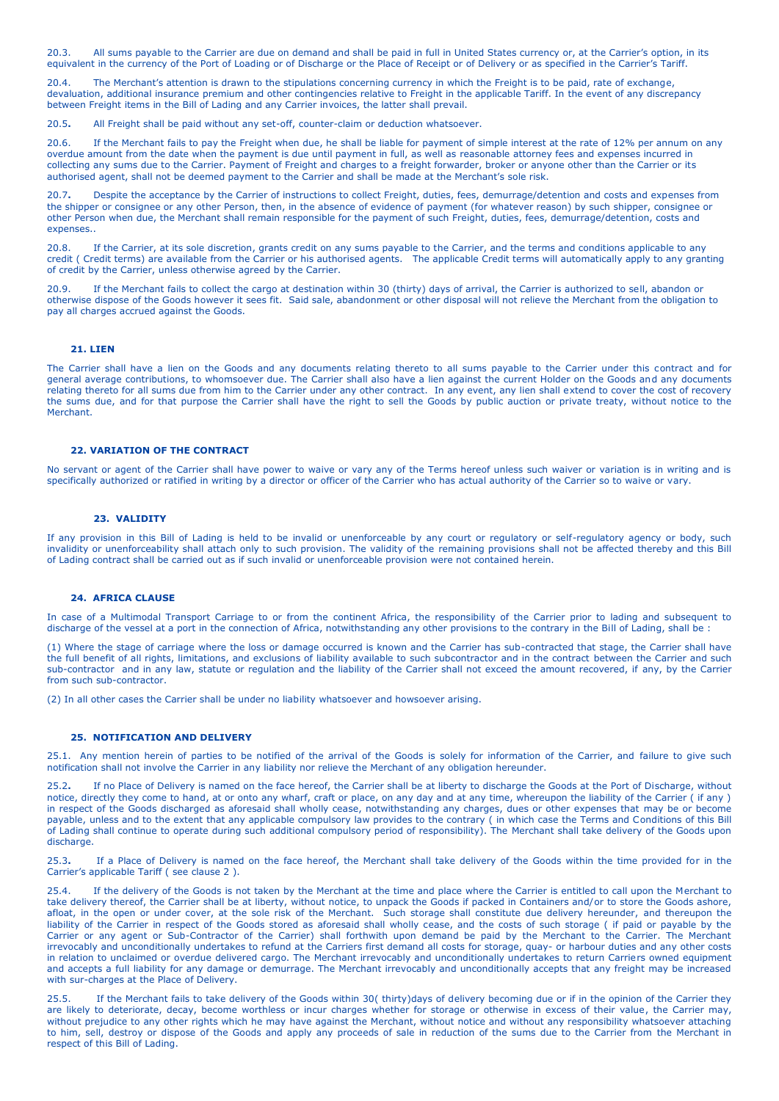20.3. All sums payable to the Carrier are due on demand and shall be paid in full in United States currency or, at the Carrier's option, in its equivalent in the currency of the Port of Loading or of Discharge or the Place of Receipt or of Delivery or as specified in the Carrier's Tariff.

20.4. The Merchant's attention is drawn to the stipulations concerning currency in which the Freight is to be paid, rate of exchange, devaluation, additional insurance premium and other contingencies relative to Freight in the applicable Tariff. In the event of any discrepancy between Freight items in the Bill of Lading and any Carrier invoices, the latter shall prevail.

20.5**.** All Freight shall be paid without any set-off, counter-claim or deduction whatsoever.

20.6. If the Merchant fails to pay the Freight when due, he shall be liable for payment of simple interest at the rate of 12% per annum on any overdue amount from the date when the payment is due until payment in full, as well as reasonable attorney fees and expenses incurred in collecting any sums due to the Carrier. Payment of Freight and charges to a freight forwarder, broker or anyone other than the Carrier or its authorised agent, shall not be deemed payment to the Carrier and shall be made at the Merchant's sole risk.

20.7**.** Despite the acceptance by the Carrier of instructions to collect Freight, duties, fees, demurrage/detention and costs and expenses from the shipper or consignee or any other Person, then, in the absence of evidence of payment (for whatever reason) by such shipper, consignee or other Person when due, the Merchant shall remain responsible for the payment of such Freight, duties, fees, demurrage/detention, costs and expenses..

20.8. If the Carrier, at its sole discretion, grants credit on any sums payable to the Carrier, and the terms and conditions applicable to any credit ( Credit terms) are available from the Carrier or his authorised agents. The applicable Credit terms will automatically apply to any granting of credit by the Carrier, unless otherwise agreed by the Carrier.

20.9. If the Merchant fails to collect the cargo at destination within 30 (thirty) days of arrival, the Carrier is authorized to sell, abandon or otherwise dispose of the Goods however it sees fit. Said sale, abandonment or other disposal will not relieve the Merchant from the obligation to pay all charges accrued against the Goods.

### **21. LIEN**

The Carrier shall have a lien on the Goods and any documents relating thereto to all sums payable to the Carrier under this contract and for general average contributions, to whomsoever due. The Carrier shall also have a lien against the current Holder on the Goods and any documents relating thereto for all sums due from him to the Carrier under any other contract. In any event, any lien shall extend to cover the cost of recovery the sums due, and for that purpose the Carrier shall have the right to sell the Goods by public auction or private treaty, without notice to the **Merchant** 

### **22. VARIATION OF THE CONTRACT**

No servant or agent of the Carrier shall have power to waive or vary any of the Terms hereof unless such waiver or variation is in writing and is specifically authorized or ratified in writing by a director or officer of the Carrier who has actual authority of the Carrier so to waive or vary.

### **23. VALIDITY**

If any provision in this Bill of Lading is held to be invalid or unenforceable by any court or regulatory or self-regulatory agency or body, such invalidity or unenforceability shall attach only to such provision. The validity of the remaining provisions shall not be affected thereby and this Bill of Lading contract shall be carried out as if such invalid or unenforceable provision were not contained herein.

#### **24. AFRICA CLAUSE**

In case of a Multimodal Transport Carriage to or from the continent Africa, the responsibility of the Carrier prior to lading and subsequent to discharge of the vessel at a port in the connection of Africa, notwithstanding any other provisions to the contrary in the Bill of Lading, shall be :

(1) Where the stage of carriage where the loss or damage occurred is known and the Carrier has sub-contracted that stage, the Carrier shall have the full benefit of all rights, limitations, and exclusions of liability available to such subcontractor and in the contract between the Carrier and such sub-contractor and in any law, statute or regulation and the liability of the Carrier shall not exceed the amount recovered, if any, by the Carrier from such sub-contractor.

(2) In all other cases the Carrier shall be under no liability whatsoever and howsoever arising.

#### **25. NOTIFICATION AND DELIVERY**

25.1. Any mention herein of parties to be notified of the arrival of the Goods is solely for information of the Carrier, and failure to give such notification shall not involve the Carrier in any liability nor relieve the Merchant of any obligation hereunder.

25.2**.** If no Place of Delivery is named on the face hereof, the Carrier shall be at liberty to discharge the Goods at the Port of Discharge, without notice, directly they come to hand, at or onto any wharf, craft or place, on any day and at any time, whereupon the liability of the Carrier ( if any ) in respect of the Goods discharged as aforesaid shall wholly cease, notwithstanding any charges, dues or other expenses that may be or become payable, unless and to the extent that any applicable compulsory law provides to the contrary ( in which case the Terms and Conditions of this Bill of Lading shall continue to operate during such additional compulsory period of responsibility). The Merchant shall take delivery of the Goods upon discharge.

25.3**.** If a Place of Delivery is named on the face hereof, the Merchant shall take delivery of the Goods within the time provided for in the Carrier's applicable Tariff ( see clause 2 ).

25.4. If the delivery of the Goods is not taken by the Merchant at the time and place where the Carrier is entitled to call upon the Merchant to take delivery thereof, the Carrier shall be at liberty, without notice, to unpack the Goods if packed in Containers and/or to store the Goods ashore, afloat, in the open or under cover, at the sole risk of the Merchant. Such storage shall constitute due delivery hereunder, and thereupon the liability of the Carrier in respect of the Goods stored as aforesaid shall wholly cease, and the costs of such storage ( if paid or payable by the Carrier or any agent or Sub-Contractor of the Carrier) shall forthwith upon demand be paid by the Merchant to the Carrier. The Merchant irrevocably and unconditionally undertakes to refund at the Carriers first demand all costs for storage, quay- or harbour duties and any other costs in relation to unclaimed or overdue delivered cargo. The Merchant irrevocably and unconditionally undertakes to return Carriers owned equipment and accepts a full liability for any damage or demurrage. The Merchant irrevocably and unconditionally accepts that any freight may be increased with sur-charges at the Place of Delivery.

25.5. If the Merchant fails to take delivery of the Goods within 30( thirty)days of delivery becoming due or if in the opinion of the Carrier they are likely to deteriorate, decay, become worthless or incur charges whether for storage or otherwise in excess of their value, the Carrier may, without prejudice to any other rights which he may have against the Merchant, without notice and without any responsibility whatsoever attaching to him, sell, destroy or dispose of the Goods and apply any proceeds of sale in reduction of the sums due to the Carrier from the Merchant in respect of this Bill of Lading.